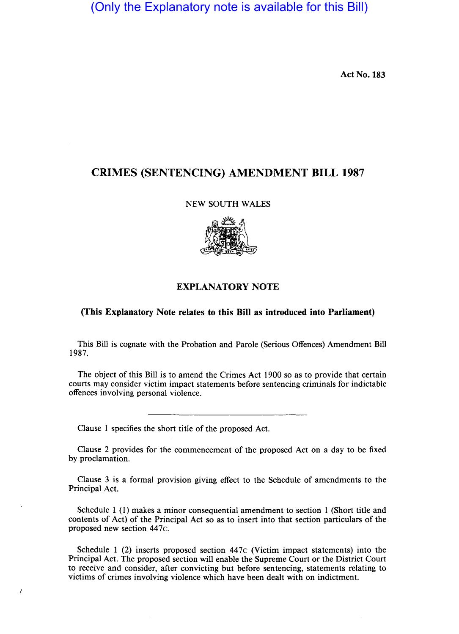(Only the Explanatory note is available for this Bill)

Act No. 183

# CRIMES (SENTENCING) AMENDMENT BILL 1987

### NEW SOUTH WALES



### EXPLANATORY NOTE

### (This Explanatory Note relates to this Bill as 'introduced into Parliament)

This Bill is cognate with the Probation and Parole (Serious Offences) Amendment Bill 1987.

The object of this Bill is to amend the Crimes Act 1900 so as to provide that certain courts may consider victim impact statements before sentencing criminals for indictable offences involving personal violence.

Clause 1 specifies the short title of the proposed Act.

 $\overline{1}$ 

Clause 2 provides for the commencement of the proposed Act on a day to be fixed by proclamation.

Clause 3 is a formal provision giving effect to the Schedule of amendments to the Principal Act.

Schedule 1 (I) makes a minor consequential amendment to section 1 (Short title and contents of Act) of the Principal Act so as to insert into that section particulars of the proposed new section 447c.

Schedule 1 (2) inserts proposed section 447c (Victim impact statements) into the Principal Act. The proposed section will enable the Supreme Court or the District Court to receive and consider, after convicting but before sentencing, statements relating to victims of crimes involving violence which have been dealt with on indictment.